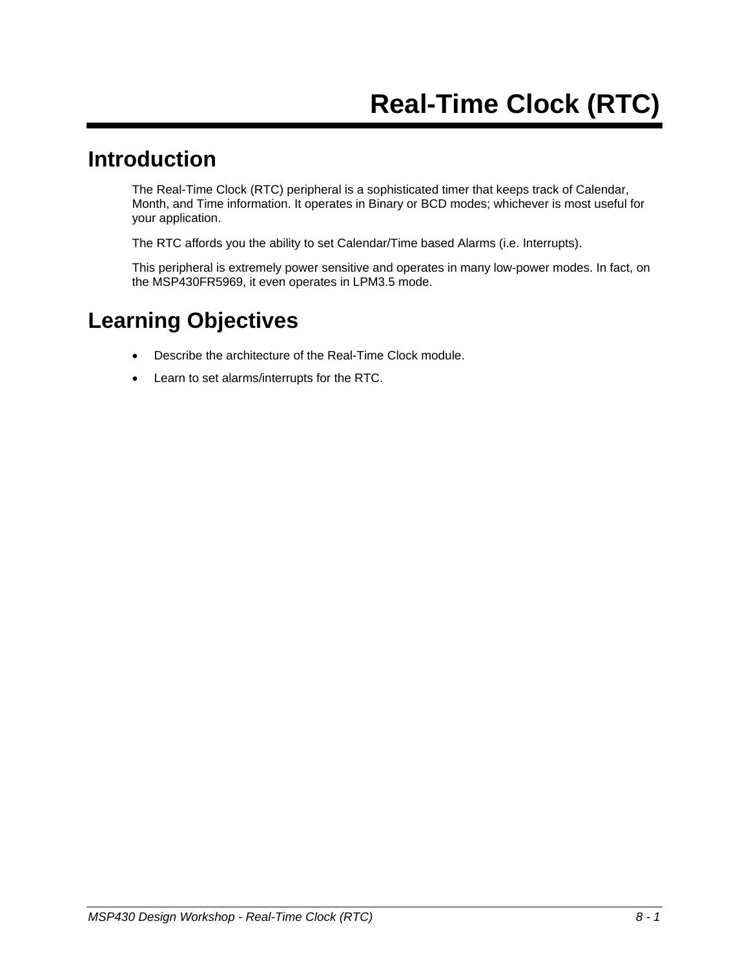#### **Introduction**

The Real-Time Clock (RTC) peripheral is a sophisticated timer that keeps track of Calendar, Month, and Time information. It operates in Binary or BCD modes; whichever is most useful for your application.

The RTC affords you the ability to set Calendar/Time based Alarms (i.e. Interrupts).

This peripheral is extremely power sensitive and operates in many low-power modes. In fact, on the MSP430FR5969, it even operates in LPM3.5 mode.

## **Learning Objectives**

- Describe the architecture of the Real-Time Clock module.
- Learn to set alarms/interrupts for the RTC.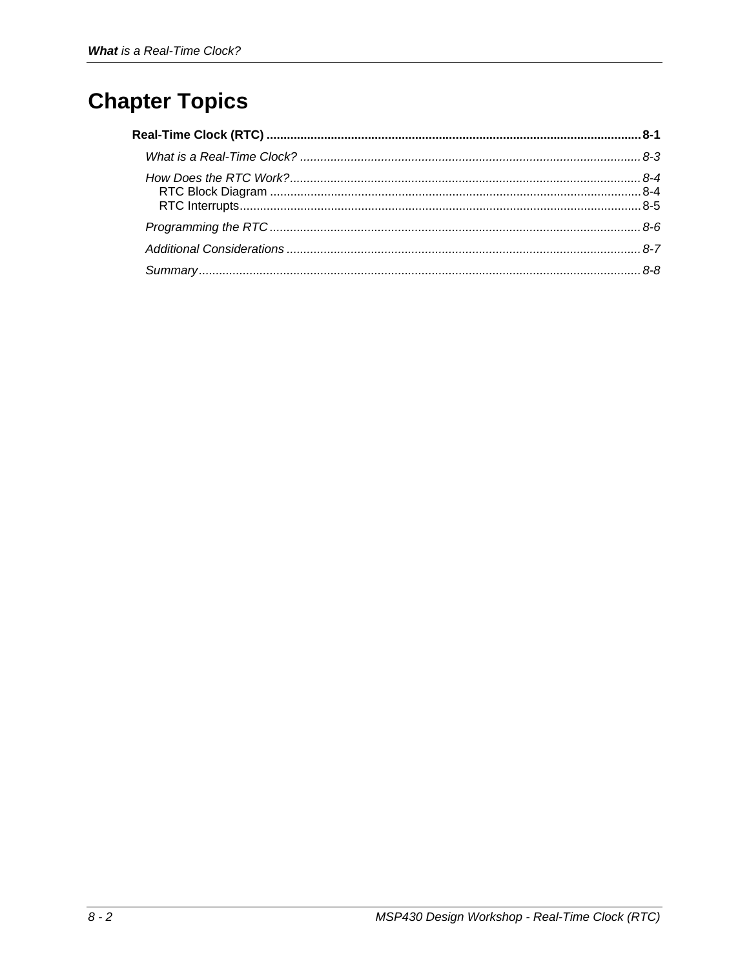# **Chapter Topics**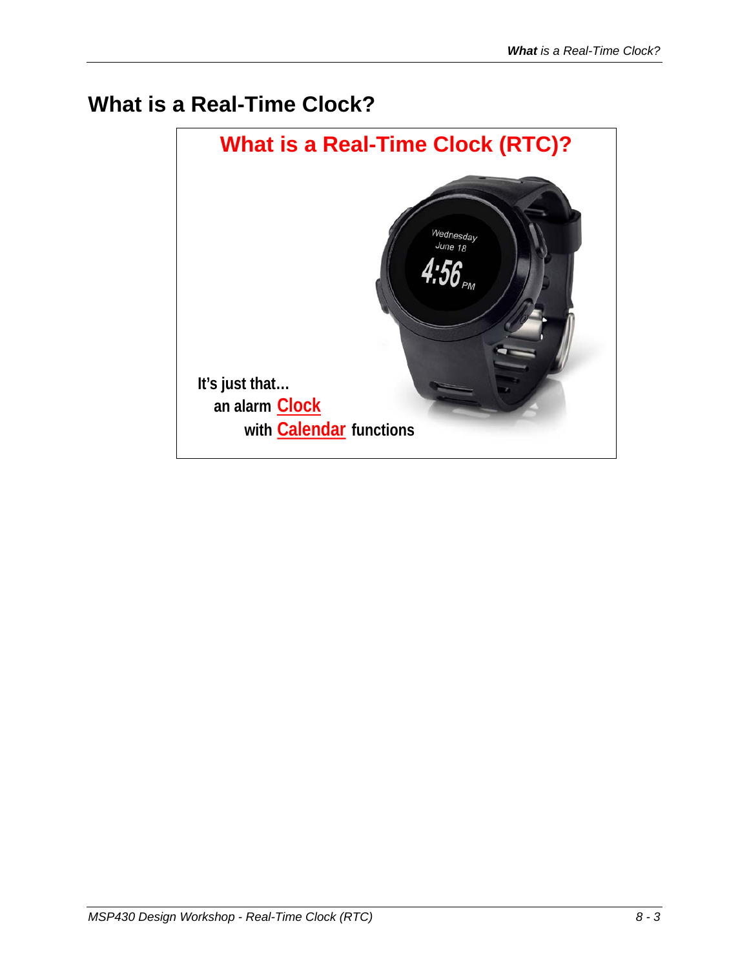## **What is a Real-Time Clock?**

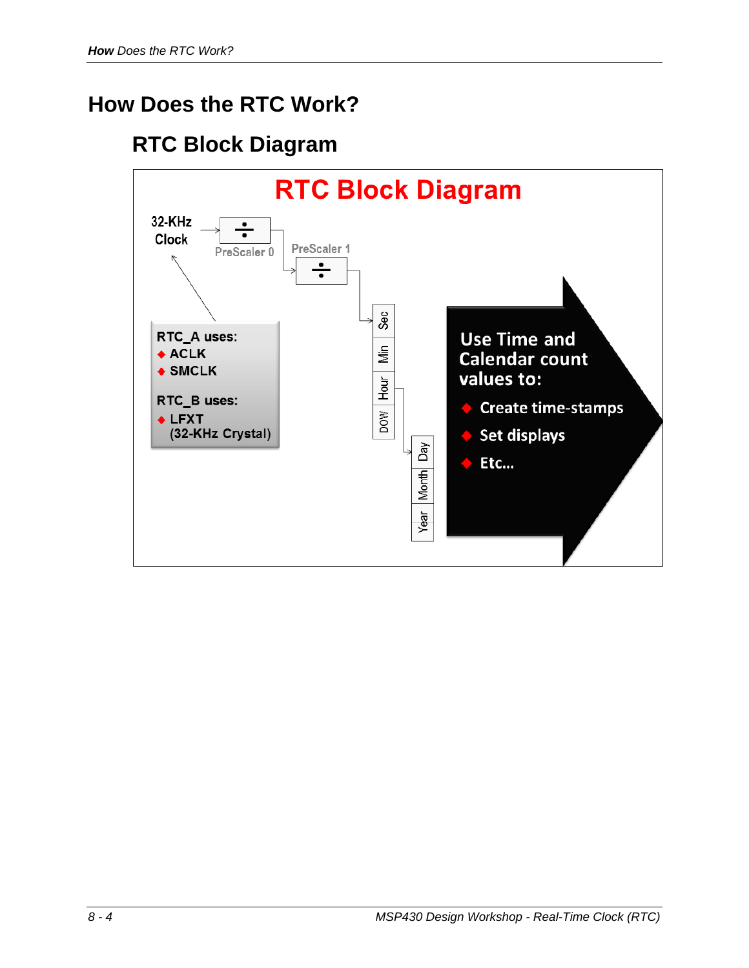## **How Does the RTC Work?**

### **RTC Block Diagram**

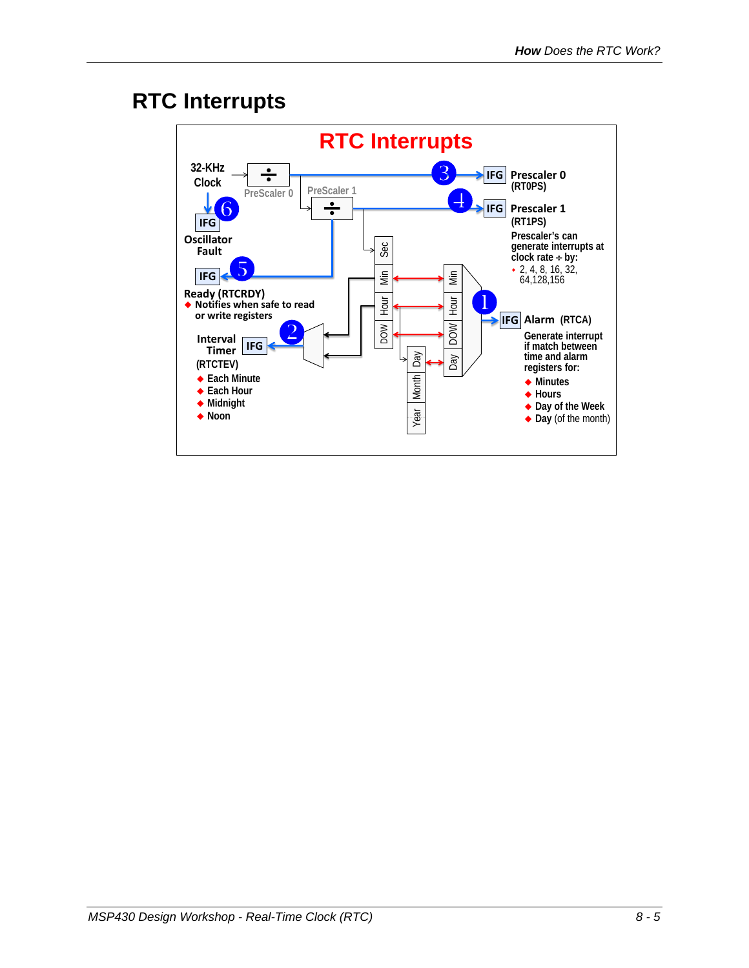#### **RTC Interrupts**

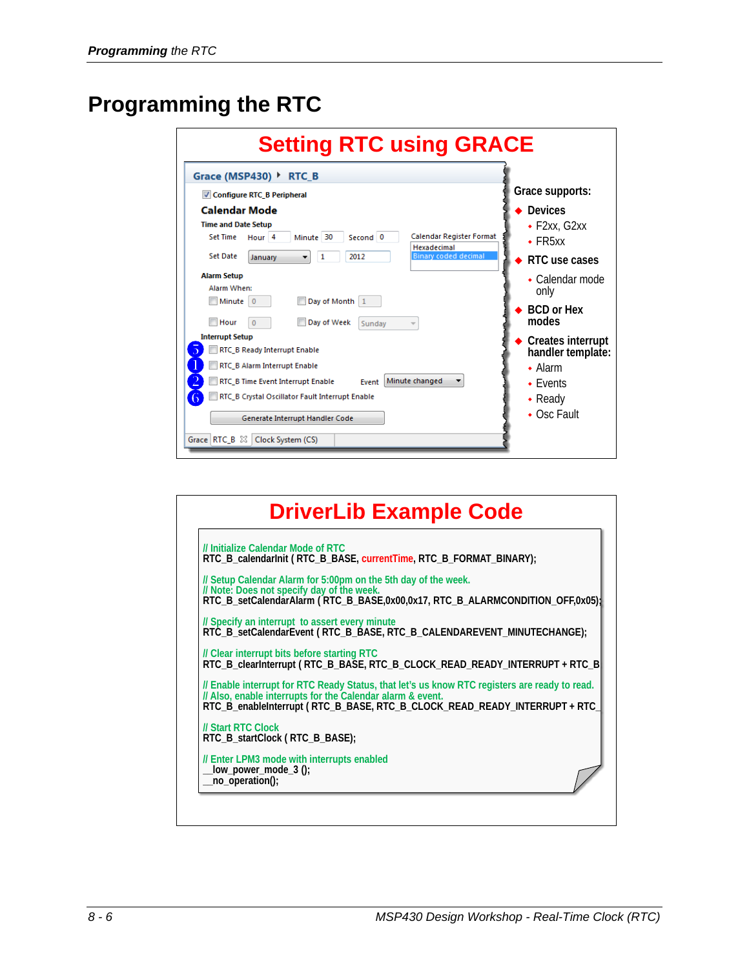### **Programming the RTC**

| <b>Setting RTC using GRACE</b>                                                                                                                                                                                                                                                                                                                                                                                                                   |                                                                                                                                                                                |  |  |  |  |
|--------------------------------------------------------------------------------------------------------------------------------------------------------------------------------------------------------------------------------------------------------------------------------------------------------------------------------------------------------------------------------------------------------------------------------------------------|--------------------------------------------------------------------------------------------------------------------------------------------------------------------------------|--|--|--|--|
| Grace (MSP430) ▶<br><b>RTC B</b><br>Configure RTC B Peripheral                                                                                                                                                                                                                                                                                                                                                                                   | Grace supports:                                                                                                                                                                |  |  |  |  |
| Calendar Mode<br><b>Time and Date Setup</b><br>Calendar Register Format<br>Second 0<br><b>Set Time</b><br>Minute 30<br>Hour <sub>4</sub><br>Hexadecimal<br><b>Binary coded decimal</b><br><b>Set Date</b><br>2012<br>January<br>1                                                                                                                                                                                                                | <b>Devices</b><br>$\cdot$ F2xx, G2xx<br>$\cdot$ FR5xx<br>RTC use cases                                                                                                         |  |  |  |  |
| <b>Alarm Setup</b><br>Alarm When:<br>Minute 0<br>Day of Month 1<br>Hour<br>Day of Week<br>$\Omega$<br>Sunday<br>$\overline{\phantom{a}}$<br><b>Interrupt Setup</b><br>RTC B Ready Interrupt Enable<br>RTC B Alarm Interrupt Enable<br>Minute changed<br>RTC B Time Event Interrupt Enable<br>Fvent<br>RTC_B Crystal Oscillator Fault Interrupt Enable<br>$\bigcirc$<br>Generate Interrupt Handler Code<br>Grace   RTC_B $\%$   Clock System (CS) | $\bullet$ Calendar mode<br>only<br><b>BCD</b> or Hex<br>modes<br>Creates interrupt<br>handler template:<br>$\bullet$ Alarm<br>$\cdot$ Fvents<br>$\bullet$ Ready<br>• Osc Fault |  |  |  |  |

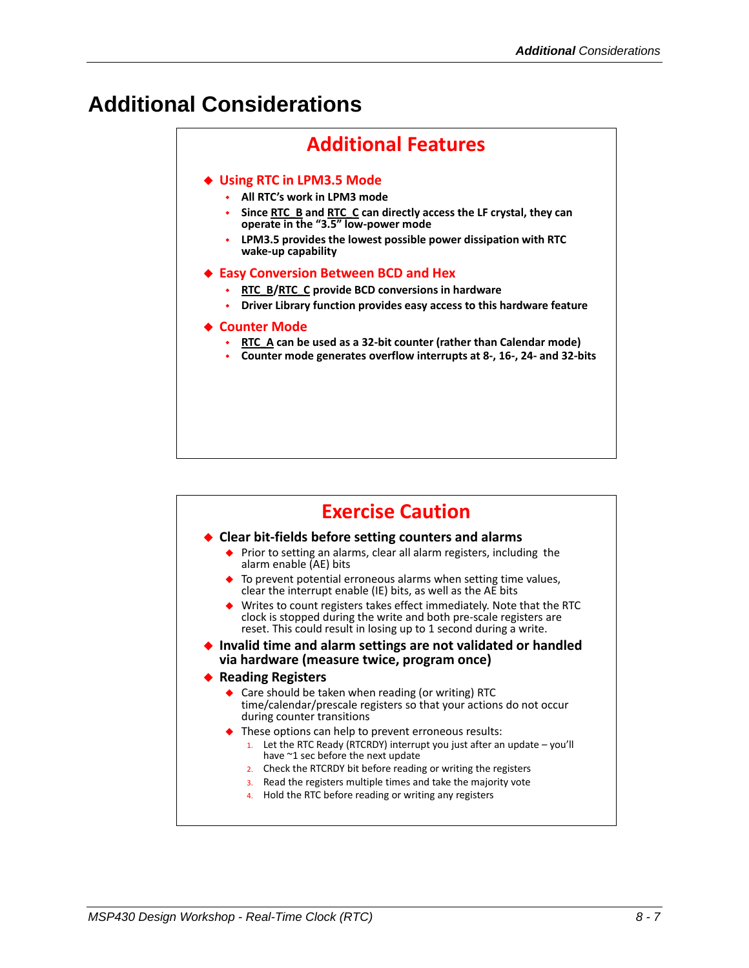#### **Additional Considerations**

#### **Additional Features Using RTC in LPM3.5 Mode All RTC's work in LPM3 mode Since RTC\_B and RTC\_C can directly access the LF crystal, they can operate in the "3.5" low-power mode LPM3.5 provides the lowest possible power dissipation with RTC wake-up capability Easy Conversion Between BCD and Hex RTC\_B/RTC\_C provide BCD conversions in hardware Driver Library function provides easy access to this hardware feature** ◆ Counter Mode **RTC\_A can be used as a 32-bit counter (rather than Calendar mode) Counter mode generates overflow interrupts at 8-, 16-, 24- and 32-bits**